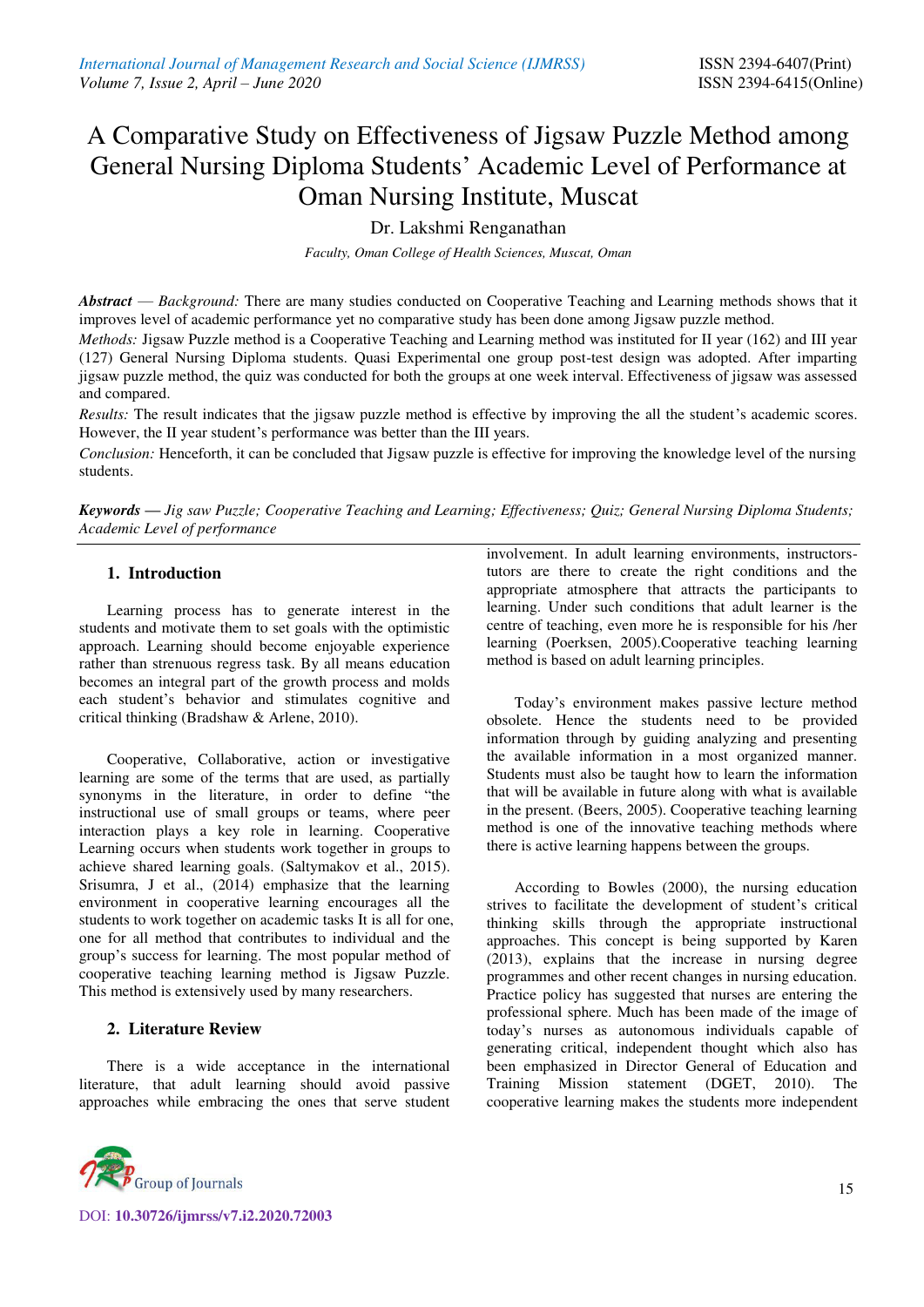# A Comparative Study on Effectiveness of Jigsaw Puzzle Method among General Nursing Diploma Students' Academic Level of Performance at Oman Nursing Institute, Muscat

Dr. Lakshmi Renganathan

*Faculty, Oman College of Health Sciences, Muscat, Oman*

*Abstract* — *Background:* There are many studies conducted on Cooperative Teaching and Learning methods shows that it improves level of academic performance yet no comparative study has been done among Jigsaw puzzle method.

*Methods:* Jigsaw Puzzle method is a Cooperative Teaching and Learning method was instituted for II year (162) and III year (127) General Nursing Diploma students. Quasi Experimental one group post-test design was adopted. After imparting jigsaw puzzle method, the quiz was conducted for both the groups at one week interval. Effectiveness of jigsaw was assessed and compared.

*Results:* The result indicates that the jigsaw puzzle method is effective by improving the all the student's academic scores. However, the II year student's performance was better than the III years.

*Conclusion:* Henceforth, it can be concluded that Jigsaw puzzle is effective for improving the knowledge level of the nursing students.

*Keywords — Jig saw Puzzle; Cooperative Teaching and Learning; Effectiveness; Quiz; General Nursing Diploma Students; Academic Level of performance*

## **1. Introduction**

Learning process has to generate interest in the students and motivate them to set goals with the optimistic approach. Learning should become enjoyable experience rather than strenuous regress task. By all means education becomes an integral part of the growth process and molds each student's behavior and stimulates cognitive and critical thinking (Bradshaw & Arlene, 2010).

Cooperative, Collaborative, action or investigative learning are some of the terms that are used, as partially synonyms in the literature, in order to define "the instructional use of small groups or teams, where peer interaction plays a key role in learning. Cooperative Learning occurs when students work together in groups to achieve shared learning goals. (Saltymakov et al., 2015). Srisumra, J et al., (2014) emphasize that the learning environment in cooperative learning encourages all the students to work together on academic tasks It is all for one, one for all method that contributes to individual and the group's success for learning. The most popular method of cooperative teaching learning method is Jigsaw Puzzle. This method is extensively used by many researchers.

# **2. Literature Review**

There is a wide acceptance in the international literature, that adult learning should avoid passive approaches while embracing the ones that serve student



DOI: **10.30726/ijmrss/v7.i2.2020.72003**

involvement. In adult learning environments, instructorstutors are there to create the right conditions and the appropriate atmosphere that attracts the participants to learning. Under such conditions that adult learner is the centre of teaching, even more he is responsible for his /her learning (Poerksen, 2005).Cooperative teaching learning method is based on adult learning principles.

Today's environment makes passive lecture method obsolete. Hence the students need to be provided information through by guiding analyzing and presenting the available information in a most organized manner. Students must also be taught how to learn the information that will be available in future along with what is available in the present. (Beers, 2005). Cooperative teaching learning method is one of the innovative teaching methods where there is active learning happens between the groups.

According to Bowles (2000), the nursing education strives to facilitate the development of student's critical thinking skills through the appropriate instructional approaches. This concept is being supported by Karen (2013), explains that the increase in nursing degree programmes and other recent changes in nursing education. Practice policy has suggested that nurses are entering the professional sphere. Much has been made of the image of today's nurses as autonomous individuals capable of generating critical, independent thought which also has been emphasized in Director General of Education and Training Mission statement (DGET, 2010). The cooperative learning makes the students more independent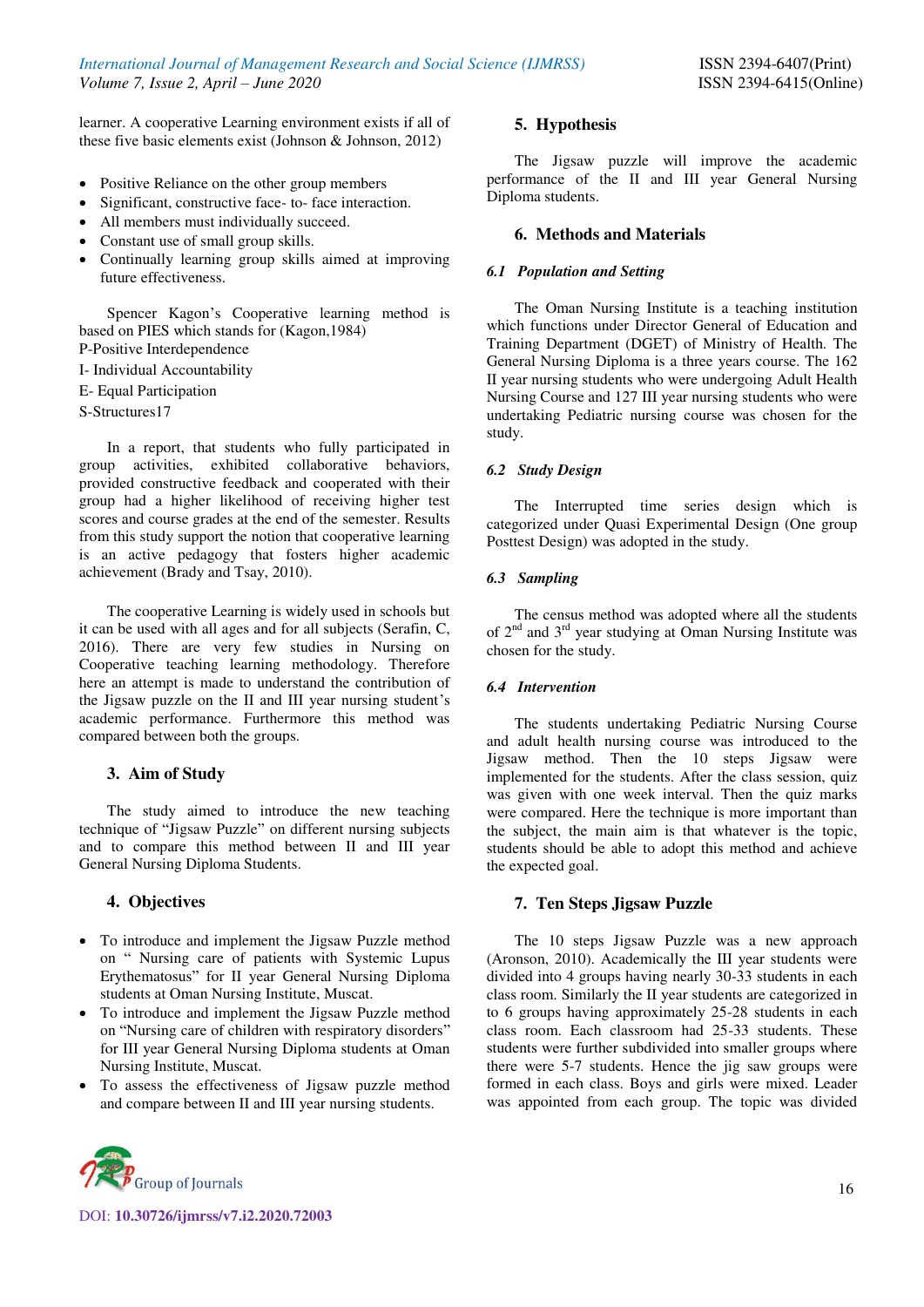learner. A cooperative Learning environment exists if all of these five basic elements exist (Johnson & Johnson, 2012)

- Positive Reliance on the other group members
- Significant, constructive face- to- face interaction.
- All members must individually succeed.
- Constant use of small group skills.
- Continually learning group skills aimed at improving future effectiveness.

Spencer Kagon's Cooperative learning method is based on PIES which stands for (Kagon,1984) P-Positive Interdependence

I- Individual Accountability

E- Equal Participation

S-Structures17

In a report, that students who fully participated in group activities, exhibited collaborative behaviors, provided constructive feedback and cooperated with their group had a higher likelihood of receiving higher test scores and course grades at the end of the semester. Results from this study support the notion that cooperative learning is an active pedagogy that fosters higher academic achievement (Brady and Tsay, 2010).

The cooperative Learning is widely used in schools but it can be used with all ages and for all subjects (Serafin, C, 2016). There are very few studies in Nursing on Cooperative teaching learning methodology. Therefore here an attempt is made to understand the contribution of the Jigsaw puzzle on the II and III year nursing student's academic performance. Furthermore this method was compared between both the groups.

## **3. Aim of Study**

The study aimed to introduce the new teaching technique of "Jigsaw Puzzle" on different nursing subjects and to compare this method between II and III year General Nursing Diploma Students.

## **4. Objectives**

- To introduce and implement the Jigsaw Puzzle method on " Nursing care of patients with Systemic Lupus Erythematosus" for II year General Nursing Diploma students at Oman Nursing Institute, Muscat.
- To introduce and implement the Jigsaw Puzzle method on "Nursing care of children with respiratory disorders" for III year General Nursing Diploma students at Oman Nursing Institute, Muscat.
- To assess the effectiveness of Jigsaw puzzle method and compare between II and III year nursing students.



DOI: **10.30726/ijmrss/v7.i2.2020.72003**

#### **5. Hypothesis**

The Jigsaw puzzle will improve the academic performance of the II and III year General Nursing Diploma students.

## **6. Methods and Materials**

#### *6.1 Population and Setting*

The Oman Nursing Institute is a teaching institution which functions under Director General of Education and Training Department (DGET) of Ministry of Health. The General Nursing Diploma is a three years course. The 162 II year nursing students who were undergoing Adult Health Nursing Course and 127 III year nursing students who were undertaking Pediatric nursing course was chosen for the study.

#### *6.2 Study Design*

The Interrupted time series design which is categorized under Quasi Experimental Design (One group Posttest Design) was adopted in the study.

#### *6.3 Sampling*

The census method was adopted where all the students of  $2<sup>nd</sup>$  and  $3<sup>rd</sup>$  year studying at Oman Nursing Institute was chosen for the study.

#### *6.4 Intervention*

The students undertaking Pediatric Nursing Course and adult health nursing course was introduced to the Jigsaw method. Then the 10 steps Jigsaw were implemented for the students. After the class session, quiz was given with one week interval. Then the quiz marks were compared. Here the technique is more important than the subject, the main aim is that whatever is the topic, students should be able to adopt this method and achieve the expected goal.

## **7. Ten Steps Jigsaw Puzzle**

The 10 steps Jigsaw Puzzle was a new approach (Aronson, 2010). Academically the III year students were divided into 4 groups having nearly 30-33 students in each class room. Similarly the II year students are categorized in to 6 groups having approximately 25-28 students in each class room. Each classroom had 25-33 students. These students were further subdivided into smaller groups where there were 5-7 students. Hence the jig saw groups were formed in each class. Boys and girls were mixed. Leader was appointed from each group. The topic was divided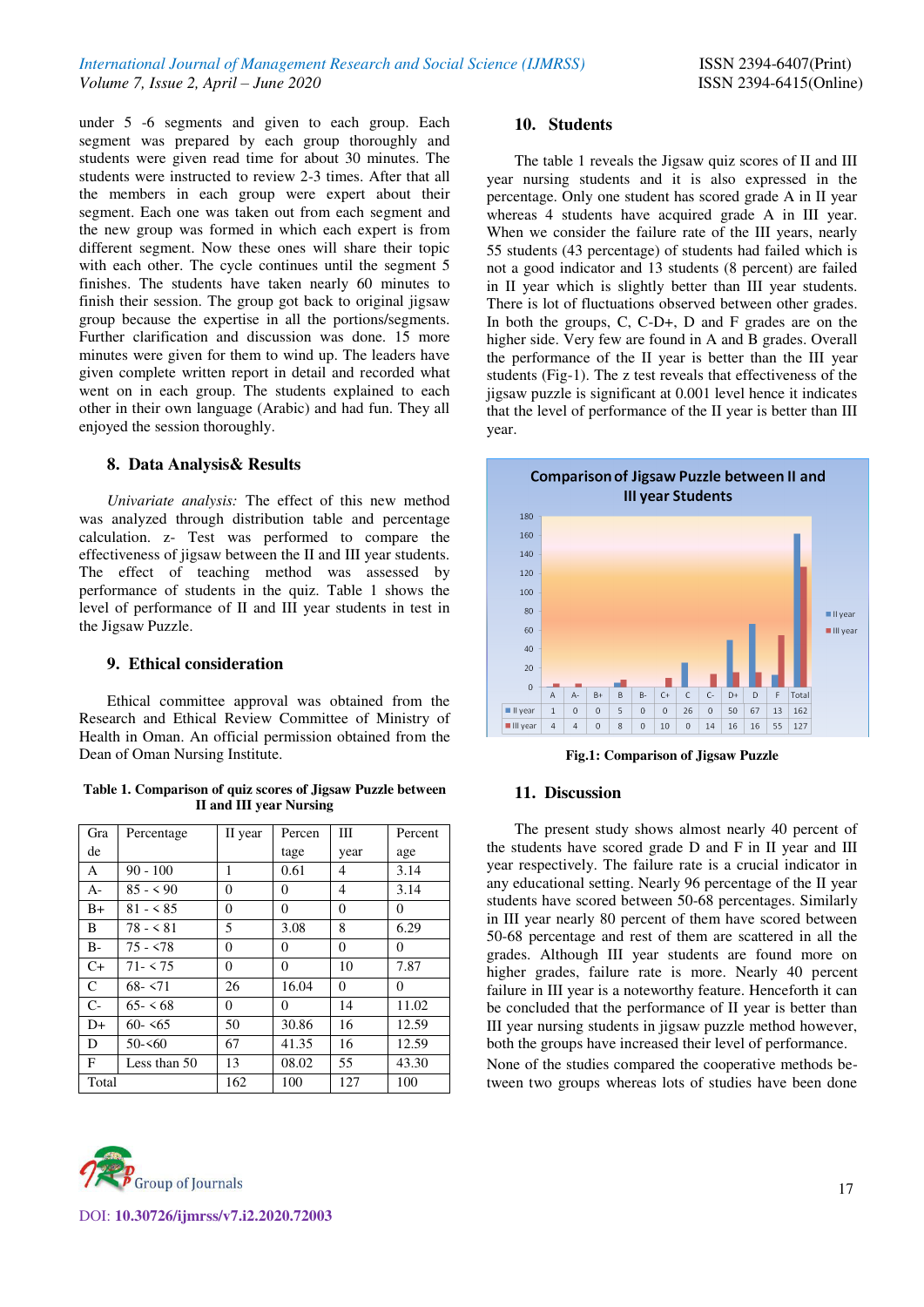under 5 -6 segments and given to each group. Each segment was prepared by each group thoroughly and students were given read time for about 30 minutes. The students were instructed to review 2-3 times. After that all the members in each group were expert about their segment. Each one was taken out from each segment and the new group was formed in which each expert is from different segment. Now these ones will share their topic with each other. The cycle continues until the segment 5 finishes. The students have taken nearly 60 minutes to finish their session. The group got back to original jigsaw group because the expertise in all the portions/segments. Further clarification and discussion was done. 15 more minutes were given for them to wind up. The leaders have given complete written report in detail and recorded what went on in each group. The students explained to each other in their own language (Arabic) and had fun. They all enjoyed the session thoroughly.

## **8. Data Analysis& Results**

*Univariate analysis:* The effect of this new method was analyzed through distribution table and percentage calculation. z- Test was performed to compare the effectiveness of jigsaw between the II and III year students. The effect of teaching method was assessed by performance of students in the quiz. Table 1 shows the level of performance of II and III year students in test in the Jigsaw Puzzle.

#### **9. Ethical consideration**

Ethical committee approval was obtained from the Research and Ethical Review Committee of Ministry of Health in Oman. An official permission obtained from the Dean of Oman Nursing Institute.

**Table 1. Comparison of quiz scores of Jigsaw Puzzle between II and III year Nursing** 

| Gra           | Percentage   | II year | Percen   | Ш        | Percent  |
|---------------|--------------|---------|----------|----------|----------|
| de            |              |         | tage     | year     | age      |
| A             | $90 - 100$   | 1       | 0.61     | 4        | 3.14     |
| $A-$          | $85 - 590$   | 0       | 0        | 4        | 3.14     |
| $B+$          | $81 - 585$   | 0       | $\theta$ | $\theta$ | $\Omega$ |
| B             | $78 - 581$   | 5       | 3.08     | 8        | 6.29     |
| $B -$         | $75 - 5.78$  | 0       | 0        | $\theta$ | $\Omega$ |
| $C+$          | $71 - 575$   | 0       | $\Omega$ | 10       | 7.87     |
| $\mathcal{C}$ | $68 - 571$   | 26      | 16.04    | $\theta$ | $\Omega$ |
| $C-$          | $65 - 568$   | 0       | $\Omega$ | 14       | 11.02    |
| $D+$          | $60 - 55$    | 50      | 30.86    | 16       | 12.59    |
| D             | $50 - 50$    | 67      | 41.35    | 16       | 12.59    |
| F             | Less than 50 | 13      | 08.02    | 55       | 43.30    |
| Total         |              | 162     | 100      | 127      | 100      |



## **10. Students**

The table 1 reveals the Jigsaw quiz scores of II and III year nursing students and it is also expressed in the percentage. Only one student has scored grade A in II year whereas 4 students have acquired grade A in III year. When we consider the failure rate of the III years, nearly 55 students (43 percentage) of students had failed which is not a good indicator and 13 students (8 percent) are failed in II year which is slightly better than III year students. There is lot of fluctuations observed between other grades. In both the groups, C, C-D+, D and F grades are on the higher side. Very few are found in A and B grades. Overall the performance of the II year is better than the III year students (Fig-1). The z test reveals that effectiveness of the jigsaw puzzle is significant at 0.001 level hence it indicates that the level of performance of the II year is better than III year.



**Fig.1: Comparison of Jigsaw Puzzle** 

## **11. Discussion**

The present study shows almost nearly 40 percent of the students have scored grade D and F in II year and III year respectively. The failure rate is a crucial indicator in any educational setting. Nearly 96 percentage of the II year students have scored between 50-68 percentages. Similarly in III year nearly 80 percent of them have scored between 50-68 percentage and rest of them are scattered in all the grades. Although III year students are found more on higher grades, failure rate is more. Nearly 40 percent failure in III year is a noteworthy feature. Henceforth it can be concluded that the performance of II year is better than III year nursing students in jigsaw puzzle method however, both the groups have increased their level of performance.

None of the studies compared the cooperative methods between two groups whereas lots of studies have been done